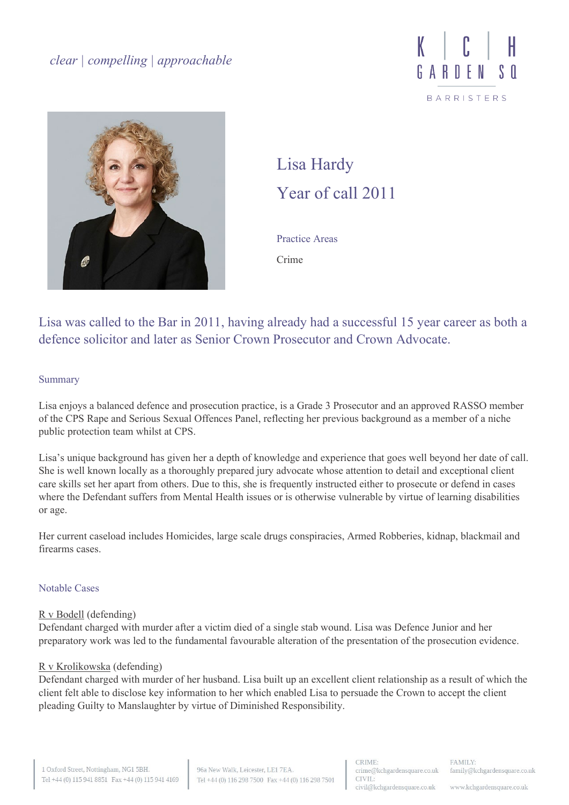



# Lisa Hardy Year of call 2011

Practice Areas Crime

Lisa was called to the Bar in 2011, having already had a successful 15 year career as both a defence solicitor and later as Senior Crown Prosecutor and Crown Advocate.

## Summary

Lisa enjoys a balanced defence and prosecution practice, is a Grade 3 Prosecutor and an approved RASSO member of the CPS Rape and Serious Sexual Offences Panel, reflecting her previous background as a member of a niche public protection team whilst at CPS.

Lisa's unique background has given her a depth of knowledge and experience that goes well beyond her date of call. She is well known locally as a thoroughly prepared jury advocate whose attention to detail and exceptional client care skills set her apart from others. Due to this, she is frequently instructed either to prosecute or defend in cases where the Defendant suffers from Mental Health issues or is otherwise vulnerable by virtue of learning disabilities or age.

Her current caseload includes Homicides, large scale drugs conspiracies, Armed Robberies, kidnap, blackmail and firearms cases.

# Notable Cases

## [R v Bodell](https://www.bbc.co.uk/news/uk-england-lincolnshire-57569462) (defending)

Defendant charged with murder after a victim died of a single stab wound. Lisa was Defence Junior and her preparatory work was led to the fundamental favourable alteration of the presentation of the prosecution evidence.

## [R v Krolikowska](https://www.bbc.co.uk/news/uk-england-humber-59497533) (defending)

Defendant charged with murder of her husband. Lisa built up an excellent client relationship as a result of which the client felt able to disclose key information to her which enabled Lisa to persuade the Crown to accept the client pleading Guilty to Manslaughter by virtue of Diminished Responsibility.

www.kchgardensquare.co.uk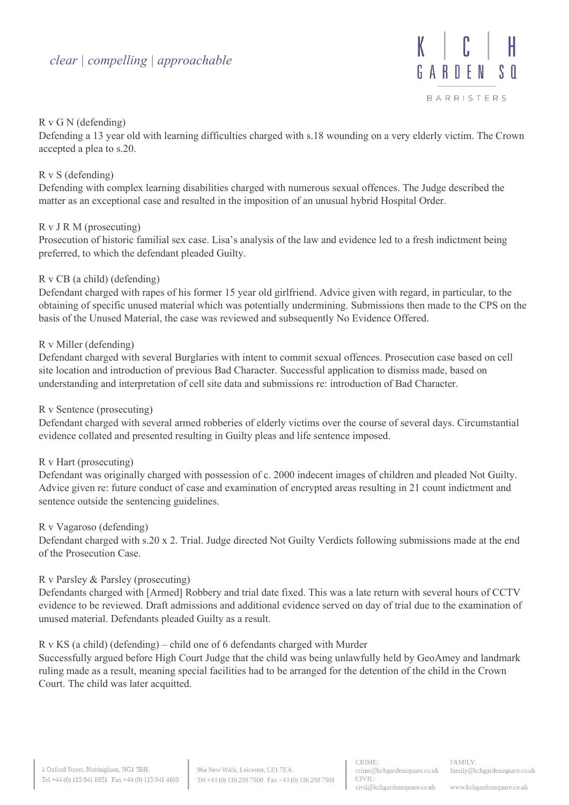# *clear | compelling | approachable*



# R v G N (defending)

Defending a 13 year old with learning difficulties charged with s.18 wounding on a very elderly victim. The Crown accepted a plea to s.20.

# R v S (defending)

Defending with complex learning disabilities charged with numerous sexual offences. The Judge described the matter as an exceptional case and resulted in the imposition of an unusual hybrid Hospital Order.

# R v J R M (prosecuting)

Prosecution of historic familial sex case. Lisa's analysis of the law and evidence led to a fresh indictment being preferred, to which the defendant pleaded Guilty.

# R v CB (a child) (defending)

Defendant charged with rapes of his former 15 year old girlfriend. Advice given with regard, in particular, to the obtaining of specific unused material which was potentially undermining. Submissions then made to the CPS on the basis of the Unused Material, the case was reviewed and subsequently No Evidence Offered.

# R v Miller (defending)

Defendant charged with several Burglaries with intent to commit sexual offences. Prosecution case based on cell site location and introduction of previous Bad Character. Successful application to dismiss made, based on understanding and interpretation of cell site data and submissions re: introduction of Bad Character.

## R v Sentence (prosecuting)

Defendant charged with several armed robberies of elderly victims over the course of several days. Circumstantial evidence collated and presented resulting in Guilty pleas and life sentence imposed.

## R v Hart (prosecuting)

Defendant was originally charged with possession of c. 2000 indecent images of children and pleaded Not Guilty. Advice given re: future conduct of case and examination of encrypted areas resulting in 21 count indictment and sentence outside the sentencing guidelines.

## R v Vagaroso (defending)

Defendant charged with s.20 x 2. Trial. Judge directed Not Guilty Verdicts following submissions made at the end of the Prosecution Case.

## R v Parsley & Parsley (prosecuting)

Defendants charged with [Armed] Robbery and trial date fixed. This was a late return with several hours of CCTV evidence to be reviewed. Draft admissions and additional evidence served on day of trial due to the examination of unused material. Defendants pleaded Guilty as a result.

## R v KS (a child) (defending) – child one of 6 defendants charged with Murder

Successfully argued before High Court Judge that the child was being unlawfully held by GeoAmey and landmark ruling made as a result, meaning special facilities had to be arranged for the detention of the child in the Crown Court. The child was later acquitted.

www.kchgardensquare.co.uk